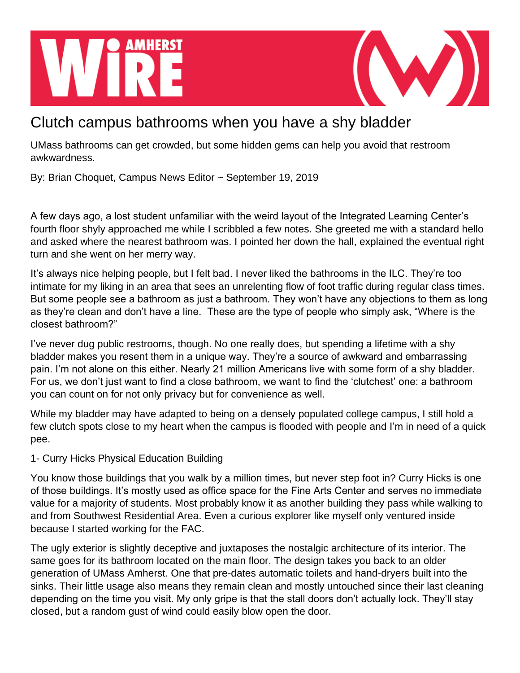## **AMHERST**

## Clutch campus bathrooms when you have a shy bladder

UMass bathrooms can get crowded, but some hidden gems can help you avoid that restroom awkwardness.

By: Brian Choquet, Campus News Editor ~ September 19, 2019

A few days ago, a lost student unfamiliar with the weird layout of the Integrated Learning Center's fourth floor shyly approached me while I scribbled a few notes. She greeted me with a standard hello and asked where the nearest bathroom was. I pointed her down the hall, explained the eventual right turn and she went on her merry way.

It's always nice helping people, but I felt bad. I never liked the bathrooms in the ILC. They're too intimate for my liking in an area that sees an unrelenting flow of foot traffic during regular class times. But some people see a bathroom as just a bathroom. They won't have any objections to them as long as they're clean and don't have a line. These are the type of people who simply ask, "Where is the closest bathroom?"

I've never dug public restrooms, though. No one really does, but spending a lifetime with a shy bladder makes you resent them in a unique way. They're a source of awkward and embarrassing pain. I'm not alone on this either. Nearly 21 million Americans live with some form of a shy bladder. For us, we don't just want to find a close bathroom, we want to find the 'clutchest' one: a bathroom you can count on for not only privacy but for convenience as well.

While my bladder may have adapted to being on a densely populated college campus, I still hold a few clutch spots close to my heart when the campus is flooded with people and I'm in need of a quick pee.

## 1- Curry Hicks Physical Education Building

You know those buildings that you walk by a million times, but never step foot in? Curry Hicks is one of those buildings. It's mostly used as office space for the Fine Arts Center and serves no immediate value for a majority of students. Most probably know it as another building they pass while walking to and from Southwest Residential Area. Even a curious explorer like myself only ventured inside because I started working for the FAC.

The ugly exterior is slightly deceptive and juxtaposes the nostalgic architecture of its interior. The same goes for its bathroom located on the main floor. The design takes you back to an older generation of UMass Amherst. One that pre-dates automatic toilets and hand-dryers built into the sinks. Their little usage also means they remain clean and mostly untouched since their last cleaning depending on the time you visit. My only gripe is that the stall doors don't actually lock. They'll stay closed, but a random gust of wind could easily blow open the door.